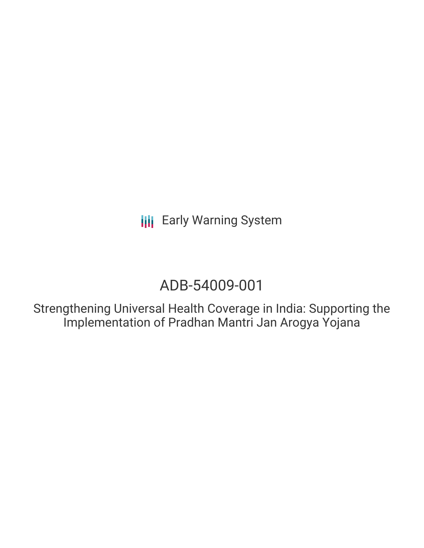**III** Early Warning System

# ADB-54009-001

Strengthening Universal Health Coverage in India: Supporting the Implementation of Pradhan Mantri Jan Arogya Yojana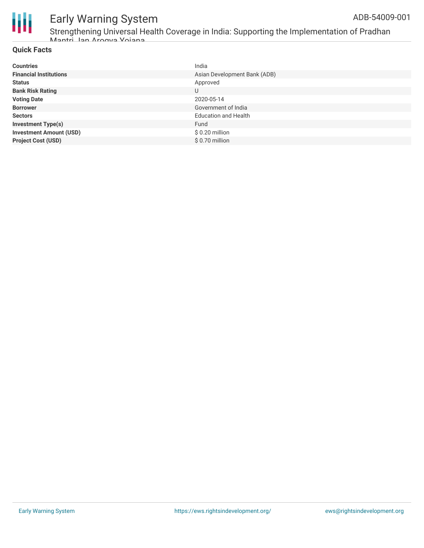

#### Early Warning System ADB-54009-001

### **Quick Facts**

| <b>Countries</b>               | India                        |
|--------------------------------|------------------------------|
| <b>Financial Institutions</b>  | Asian Development Bank (ADB) |
| <b>Status</b>                  | Approved                     |
| <b>Bank Risk Rating</b>        | U                            |
| <b>Voting Date</b>             | 2020-05-14                   |
| <b>Borrower</b>                | Government of India          |
| <b>Sectors</b>                 | <b>Education and Health</b>  |
| <b>Investment Type(s)</b>      | Fund                         |
| <b>Investment Amount (USD)</b> | $$0.20$ million              |
| <b>Project Cost (USD)</b>      | \$0.70 million               |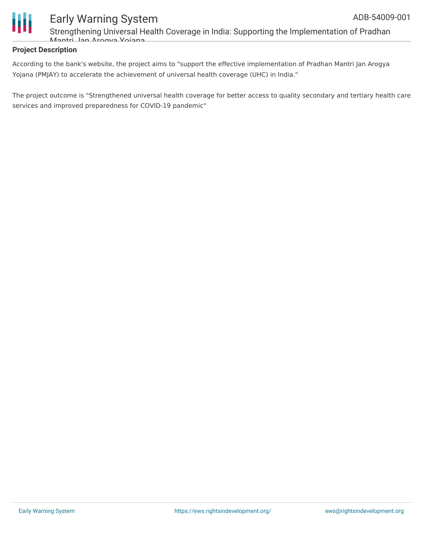

## Early Warning System Strengthening Universal Health Coverage in India: Supporting the Implementation of Pradhan Mantri Jan Arogya Yojana

#### **Project Description**

According to the bank's website, the project aims to "support the effective implementation of Pradhan Mantri Jan Arogya Yojana (PMJAY) to accelerate the achievement of universal health coverage (UHC) in India."

The project outcome is "Strengthened universal health coverage for better access to quality secondary and tertiary health care services and improved preparedness for COVID-19 pandemic"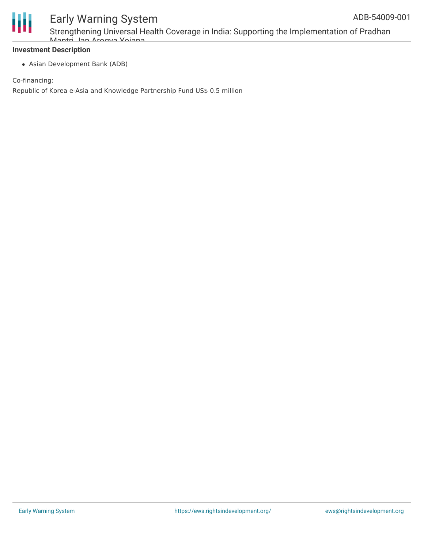

# Early Warning System

Strengthening Universal Health Coverage in India: Supporting the Implementation of Pradhan Mantri Jan Arogya Yojana

#### **Investment Description**

Asian Development Bank (ADB)

Co-financing:

Republic of Korea e-Asia and Knowledge Partnership Fund US\$ 0.5 million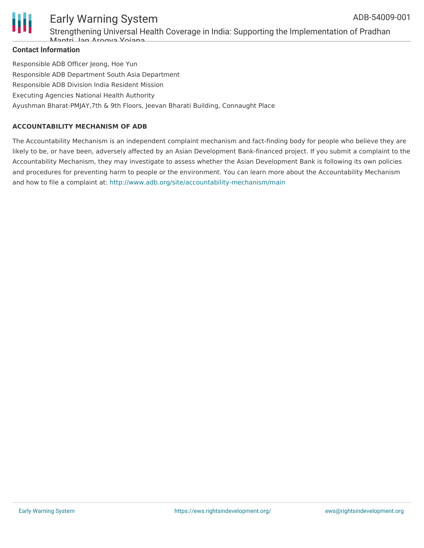

### Early Warning System Strengthening Universal Health Coverage in India: Supporting the Implementation of Pradhan Mantri Jan Arogya Yojana

#### **Contact Information**

Responsible ADB Officer Jeong, Hoe Yun Responsible ADB Department South Asia Department Responsible ADB Division India Resident Mission Executing Agencies National Health Authority Ayushman Bharat-PMJAY,7th & 9th Floors, Jeevan Bharati Building, Connaught Place

#### **ACCOUNTABILITY MECHANISM OF ADB**

The Accountability Mechanism is an independent complaint mechanism and fact-finding body for people who believe they are likely to be, or have been, adversely affected by an Asian Development Bank-financed project. If you submit a complaint to the Accountability Mechanism, they may investigate to assess whether the Asian Development Bank is following its own policies and procedures for preventing harm to people or the environment. You can learn more about the Accountability Mechanism and how to file a complaint at: <http://www.adb.org/site/accountability-mechanism/main>